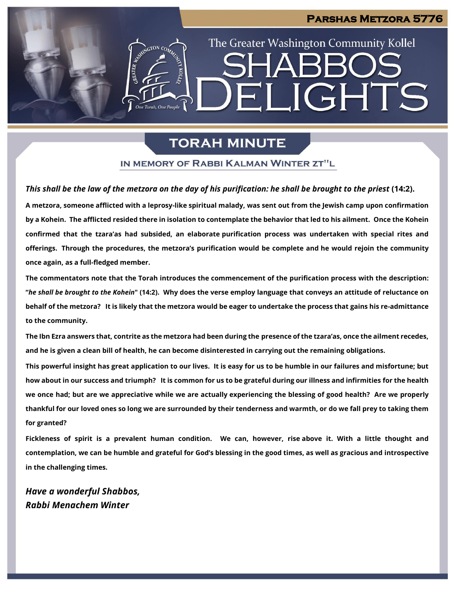### **Parshas Metzora 5776**

The Greater Washington Community Kollel

ELIGHTS

# **TORAH MINUTE**

### IN MEMORY OF RABBI KALMAN WINTER ZT"L

### *This shall be the law of the metzora on the day of his purification: he shall be brought to the priest* **(14:2).**

**A metzora, someone afflicted with a leprosy-like spiritual malady, was sent out from the Jewish camp upon confirmation by a Kohein. The afflicted resided there in isolation to contemplate the behavior that led to his ailment. Once the Kohein confirmed that the tzara'as had subsided, an elaborate purification process was undertaken with special rites and offerings. Through the procedures, the metzora's purification would be complete and he would rejoin the community once again, as a full-fledged member.**

**The commentators note that the Torah introduces the commencement of the purification process with the description: "***he shall be brought to the Kohein***" (14:2). Why does the verse employ language that conveys an attitude of reluctance on behalf of the metzora? It is likely that the metzora would be eager to undertake the process that gains his re-admittance to the community.**

**The Ibn Ezra answers that, contrite as the metzora had been during the presence of the tzara'as, once the ailment recedes, and he is given a clean bill of health, he can become disinterested in carrying out the remaining obligations.**

**This powerful insight has great application to our lives. It is easy for us to be humble in our failures and misfortune; but how about in our success and triumph? It is common for us to be grateful during our illness and infirmities for the health we once had; but are we appreciative while we are actually experiencing the blessing of good health? Are we properly thankful for our loved ones so long we are surrounded by their tenderness and warmth, or do we fall prey to taking them for granted?**

**Fickleness of spirit is a prevalent human condition. We can, however, rise above it. With a little thought and contemplation, we can be humble and grateful for God's blessing in the good times, as well as gracious and introspective in the challenging times.**

*Have a wonderful Shabbos, Rabbi Menachem Winter*